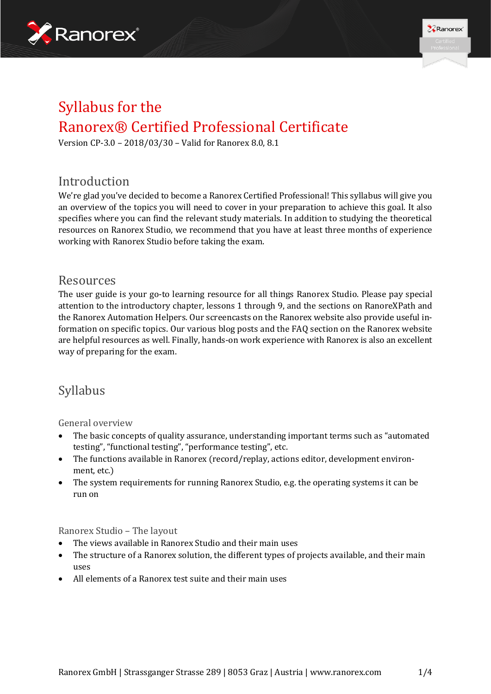



# Syllabus for the Ranorex® Certified Professional Certificate

Version CP-3.0 – 2018/03/30 – Valid for Ranorex 8.0, 8.1

## Introduction

We're glad you've decided to become a Ranorex Certified Professional! This syllabus will give you an overview of the topics you will need to cover in your preparation to achieve this goal. It also specifies where you can find the relevant study materials. In addition to studying the theoretical resources on Ranorex Studio, we recommend that you have at least three months of experience working with Ranorex Studio before taking the exam.

### Resources

The user guide is your go-to learning resource for all things Ranorex Studio. Please pay special attention to the introductory chapter, lessons 1 through 9, and the sections on RanoreXPath and the Ranorex Automation Helpers. Our screencasts on the Ranorex website also provide useful information on specific topics. Our various blog posts and the FAQ section on the Ranorex website are helpful resources as well. Finally, hands-on work experience with Ranorex is also an excellent way of preparing for the exam.

## Syllabus

General overview

- The basic concepts of quality assurance, understanding important terms such as "automated testing", "functional testing", "performance testing", etc.
- The functions available in Ranorex (record/replay, actions editor, development environment, etc.)
- The system requirements for running Ranorex Studio, e.g. the operating systems it can be run on

Ranorex Studio – The layout

- The views available in Ranorex Studio and their main uses
- The structure of a Ranorex solution, the different types of projects available, and their main uses
- All elements of a Ranorex test suite and their main uses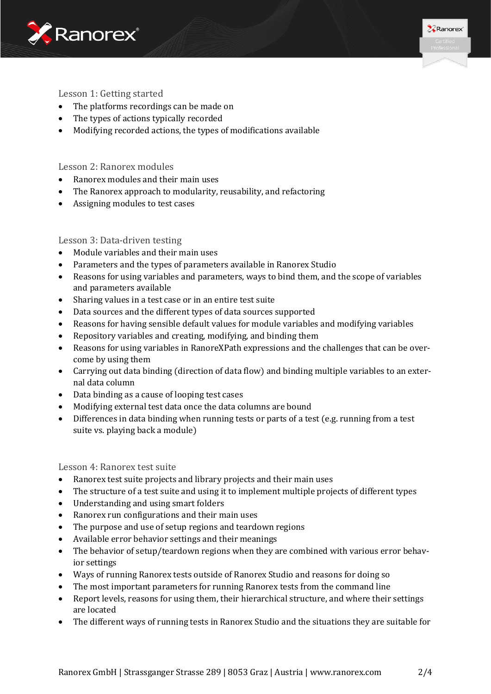



#### Lesson 1: Getting started

- The platforms recordings can be made on
- The types of actions typically recorded
- Modifying recorded actions, the types of modifications available

#### Lesson 2: Ranorex modules

- Ranorex modules and their main uses
- The Ranorex approach to modularity, reusability, and refactoring
- Assigning modules to test cases

#### Lesson 3: Data-driven testing

- Module variables and their main uses
- Parameters and the types of parameters available in Ranorex Studio
- Reasons for using variables and parameters, ways to bind them, and the scope of variables and parameters available
- Sharing values in a test case or in an entire test suite
- Data sources and the different types of data sources supported
- Reasons for having sensible default values for module variables and modifying variables
- Repository variables and creating, modifying, and binding them
- Reasons for using variables in RanoreXPath expressions and the challenges that can be overcome by using them
- Carrying out data binding (direction of data flow) and binding multiple variables to an external data column
- Data binding as a cause of looping test cases
- Modifying external test data once the data columns are bound
- Differences in data binding when running tests or parts of a test (e.g. running from a test suite vs. playing back a module)

Lesson 4: Ranorex test suite

- Ranorex test suite projects and library projects and their main uses
- The structure of a test suite and using it to implement multiple projects of different types
- Understanding and using smart folders
- Ranorex run configurations and their main uses
- The purpose and use of setup regions and teardown regions
- Available error behavior settings and their meanings
- The behavior of setup/teardown regions when they are combined with various error behavior settings
- Ways of running Ranorex tests outside of Ranorex Studio and reasons for doing so
- The most important parameters for running Ranorex tests from the command line
- Report levels, reasons for using them, their hierarchical structure, and where their settings are located
- The different ways of running tests in Ranorex Studio and the situations they are suitable for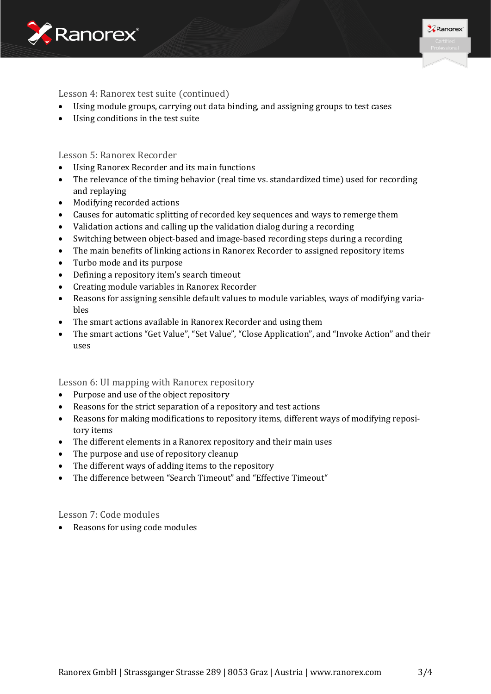



#### Lesson 4: Ranorex test suite (continued)

- Using module groups, carrying out data binding, and assigning groups to test cases
- Using conditions in the test suite

Lesson 5: Ranorex Recorder

- Using Ranorex Recorder and its main functions
- The relevance of the timing behavior (real time vs. standardized time) used for recording and replaying
- Modifying recorded actions
- Causes for automatic splitting of recorded key sequences and ways to remerge them
- Validation actions and calling up the validation dialog during a recording
- Switching between object-based and image-based recording steps during a recording
- The main benefits of linking actions in Ranorex Recorder to assigned repository items
- Turbo mode and its purpose
- Defining a repository item's search timeout
- Creating module variables in Ranorex Recorder
- Reasons for assigning sensible default values to module variables, ways of modifying variables
- The smart actions available in Ranorex Recorder and using them
- The smart actions "Get Value", "Set Value", "Close Application", and "Invoke Action" and their uses

Lesson 6: UI mapping with Ranorex repository

- Purpose and use of the object repository
- Reasons for the strict separation of a repository and test actions
- Reasons for making modifications to repository items, different ways of modifying repository items
- The different elements in a Ranorex repository and their main uses
- The purpose and use of repository cleanup
- The different ways of adding items to the repository
- The difference between "Search Timeout" and "Effective Timeout"

Lesson 7: Code modules

• Reasons for using code modules